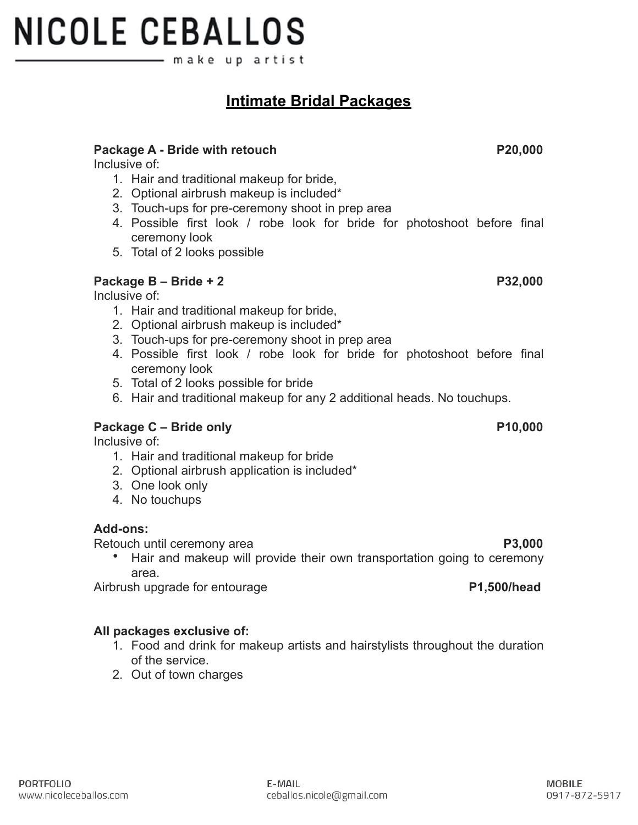## **NICOLE CEBALLOS** make up artist

## **Intimate Bridal Packages**

#### Package A - Bride with retouch **P20,000**

Inclusive of:

- 1. Hair and traditional makeup for bride,
- 2. Optional airbrush makeup is included\*
- 3. Touch-ups for pre-ceremony shoot in prep area
- 4. Possible first look / robe look for bride for photoshoot before final ceremony look
- 5. Total of 2 looks possible

#### **Package B – Bride + 2 P32,000**

Inclusive of:

- 1. Hair and traditional makeup for bride,
- 2. Optional airbrush makeup is included\*
- 3. Touch-ups for pre-ceremony shoot in prep area
- 4. Possible first look / robe look for bride for photoshoot before final ceremony look
- 5. Total of 2 looks possible for bride
- 6. Hair and traditional makeup for any 2 additional heads. No touchups.

#### Package C – Bride only **P10,000**

Inclusive of:

- 1. Hair and traditional makeup for bride
- 2. Optional airbrush application is included\*
- 3. One look only
- 4. No touchups

#### **Add-ons:**

Retouch until ceremony area **P3,000** P3,000

• Hair and makeup will provide their own transportation going to ceremony area.

Airbrush upgrade for entourage **P1,500/head**

### **All packages exclusive of:**

- 1. Food and drink for makeup artists and hairstylists throughout the duration of the service.
- 2. Out of town charges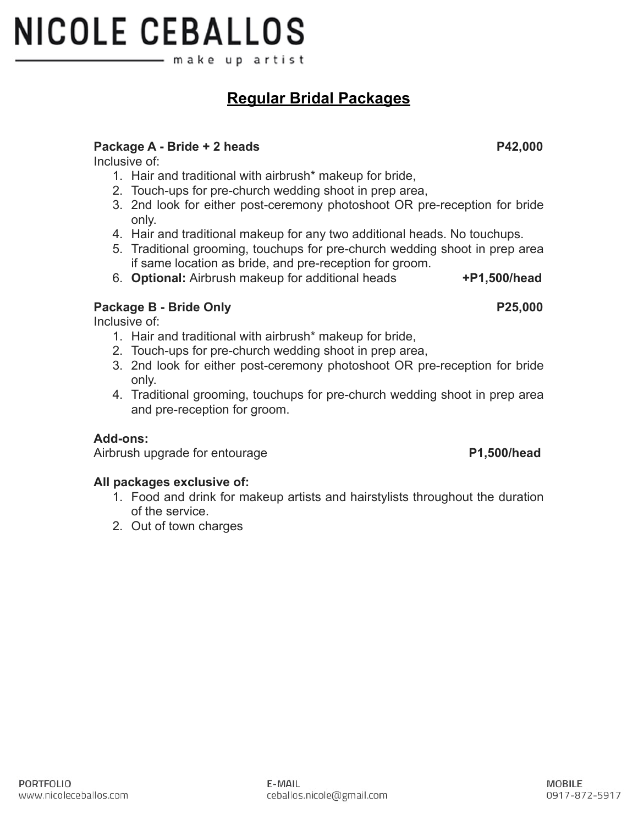# **NICOLE CEBALLOS** make up artist

## **Regular Bridal Packages**

#### Package A - Bride + 2 heads **P42,000**

Inclusive of:

- 1. Hair and traditional with airbrush\* makeup for bride,
- 2. Touch-ups for pre-church wedding shoot in prep area,
- 3. 2nd look for either post-ceremony photoshoot OR pre-reception for bride only.
- 4. Hair and traditional makeup for any two additional heads. No touchups.
- 5. Traditional grooming, touchups for pre-church wedding shoot in prep area if same location as bride, and pre-reception for groom.
- 6. **Optional:** Airbrush makeup for additional heads **+P1,500/head**

### **Package B - Bride Only P25,000**

Inclusive of:

- 1. Hair and traditional with airbrush\* makeup for bride,
- 2. Touch-ups for pre-church wedding shoot in prep area,

E-MAIL

ceballos.nicole@gmail.com

- 3. 2nd look for either post-ceremony photoshoot OR pre-reception for bride only.
- 4. Traditional grooming, touchups for pre-church wedding shoot in prep area and pre-reception for groom.

#### **Add-ons:**

Airbrush upgrade for entourage **P1,500/head**

#### **All packages exclusive of:**

- 1. Food and drink for makeup artists and hairstylists throughout the duration of the service.
- 2. Out of town charges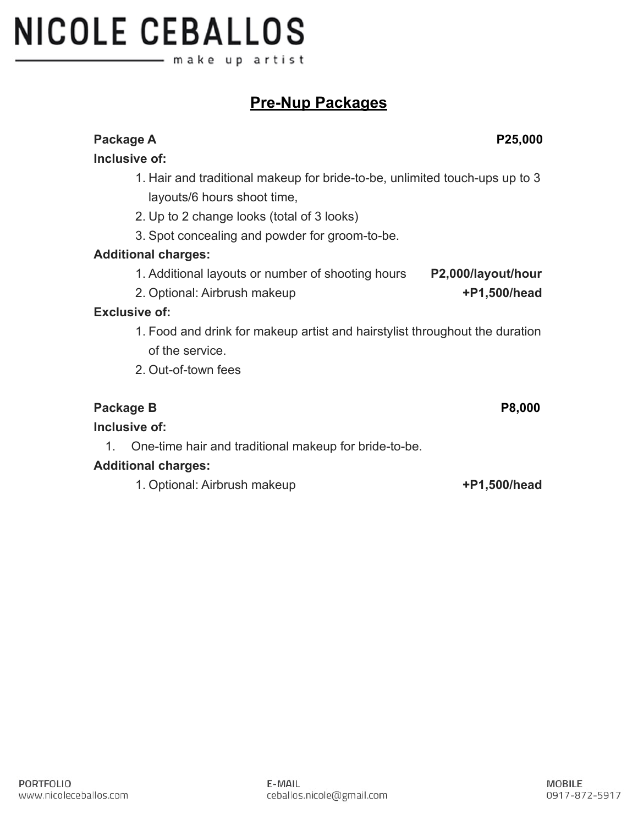#### **Additional charges:**

layouts/6 hours shoot time,

**Inclusive of:**

### **Inclusive of:**

#### **Additional charges:**

1. Optional: Airbrush makeup **+P1,500/head**

# **NICOLE CEBALLOS** – make upartist

## **Pre-Nup Packages**

1. Hair and traditional makeup for bride-to-be, unlimited touch-ups up to 3

# 2. Up to 2 change looks (total of 3 looks) 3. Spot concealing and powder for groom-to-be. 1. Additional layouts or number of shooting hours **P2,000/layout/hour** 2. Optional: Airbrush makeup **+P1,500/head Exclusive of:** 1. Food and drink for makeup artist and hairstylist throughout the duration of the service. 2. Out-of-town fees Package B Package B P8,000 1. One-time hair and traditional makeup for bride-to-be.

Package A **Package A** P25,000